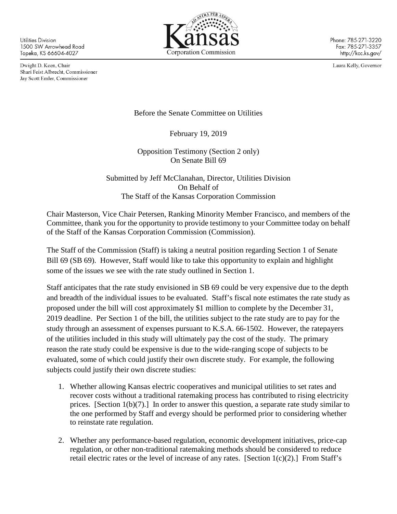Utilities Division 1500 SW Arrowhead Road Topeka, KS 66604-4027

Dwight D. Keen, Chair Shari Feist Albrecht, Commissioner Jay Scott Emler, Commissioner



Phone: 785-271-3220 Fax: 785-271-3357 http://kcc.ks.gov/

Laura Kelly, Governor

Before the Senate Committee on Utilities

February 19, 2019

Opposition Testimony (Section 2 only) On Senate Bill 69

Submitted by Jeff McClanahan, Director, Utilities Division On Behalf of The Staff of the Kansas Corporation Commission

Chair Masterson, Vice Chair Petersen, Ranking Minority Member Francisco, and members of the Committee, thank you for the opportunity to provide testimony to your Committee today on behalf of the Staff of the Kansas Corporation Commission (Commission).

The Staff of the Commission (Staff) is taking a neutral position regarding Section 1 of Senate Bill 69 (SB 69). However, Staff would like to take this opportunity to explain and highlight some of the issues we see with the rate study outlined in Section 1.

Staff anticipates that the rate study envisioned in SB 69 could be very expensive due to the depth and breadth of the individual issues to be evaluated. Staff's fiscal note estimates the rate study as proposed under the bill will cost approximately \$1 million to complete by the December 31, 2019 deadline. Per Section 1 of the bill, the utilities subject to the rate study are to pay for the study through an assessment of expenses pursuant to K.S.A. 66-1502. However, the ratepayers of the utilities included in this study will ultimately pay the cost of the study. The primary reason the rate study could be expensive is due to the wide-ranging scope of subjects to be evaluated, some of which could justify their own discrete study. For example, the following subjects could justify their own discrete studies:

- 1. Whether allowing Kansas electric cooperatives and municipal utilities to set rates and recover costs without a traditional ratemaking process has contributed to rising electricity prices. [Section 1(b)(7).] In order to answer this question, a separate rate study similar to the one performed by Staff and evergy should be performed prior to considering whether to reinstate rate regulation.
- 2. Whether any performance-based regulation, economic development initiatives, price-cap regulation, or other non-traditional ratemaking methods should be considered to reduce retail electric rates or the level of increase of any rates. [Section 1(c)(2).] From Staff's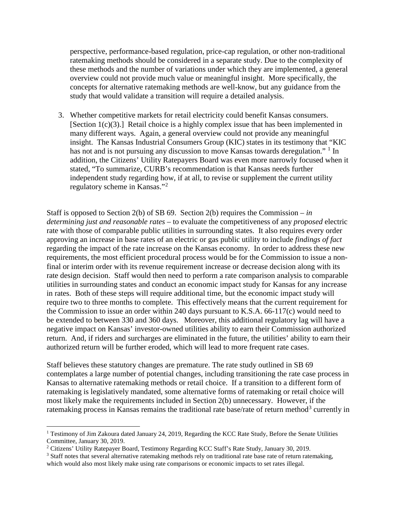perspective, performance-based regulation, price-cap regulation, or other non-traditional ratemaking methods should be considered in a separate study. Due to the complexity of these methods and the number of variations under which they are implemented, a general overview could not provide much value or meaningful insight. More specifically, the concepts for alternative ratemaking methods are well-know, but any guidance from the study that would validate a transition will require a detailed analysis.

3. Whether competitive markets for retail electricity could benefit Kansas consumers. [Section 1(c)(3).] Retail choice is a highly complex issue that has been implemented in many different ways. Again, a general overview could not provide any meaningful insight. The Kansas Industrial Consumers Group (KIC) states in its testimony that "KIC has not and is not pursuing any discussion to move Kansas towards deregulation." <sup>[1](#page-1-0)</sup> In addition, the Citizens' Utility Ratepayers Board was even more narrowly focused when it stated, "To summarize, CURB's recommendation is that Kansas needs further independent study regarding how, if at all, to revise or supplement the current utility regulatory scheme in Kansas."<sup>[2](#page-1-1)</sup>

Staff is opposed to Section 2(b) of SB 69. Section 2(b) requires the Commission – *in determining just and reasonable rates –* to evaluate the competitiveness of any *proposed* electric rate with those of comparable public utilities in surrounding states. It also requires every order approving an increase in base rates of an electric or gas public utility to include *findings of fact* regarding the impact of the rate increase on the Kansas economy. In order to address these new requirements, the most efficient procedural process would be for the Commission to issue a nonfinal or interim order with its revenue requirement increase or decrease decision along with its rate design decision. Staff would then need to perform a rate comparison analysis to comparable utilities in surrounding states and conduct an economic impact study for Kansas for any increase in rates. Both of these steps will require additional time, but the economic impact study will require two to three months to complete. This effectively means that the current requirement for the Commission to issue an order within 240 days pursuant to K.S.A. 66-117(c) would need to be extended to between 330 and 360 days. Moreover, this additional regulatory lag will have a negative impact on Kansas' investor-owned utilities ability to earn their Commission authorized return. And, if riders and surcharges are eliminated in the future, the utilities' ability to earn their authorized return will be further eroded, which will lead to more frequent rate cases.

Staff believes these statutory changes are premature. The rate study outlined in SB 69 contemplates a large number of potential changes, including transitioning the rate case process in Kansas to alternative ratemaking methods or retail choice. If a transition to a different form of ratemaking is legislatively mandated, some alternative forms of ratemaking or retail choice will most likely make the requirements included in Section 2(b) unnecessary. However, if the ratemaking process in Kansas remains the traditional rate base/rate of return method<sup>[3](#page-1-2)</sup> currently in

 $\overline{\phantom{a}}$ 

<span id="page-1-0"></span><sup>1</sup> Testimony of Jim Zakoura dated January 24, 2019, Regarding the KCC Rate Study, Before the Senate Utilities Committee, January 30, 2019.

<span id="page-1-1"></span><sup>2</sup> Citizens' Utility Ratepayer Board, Testimony Regarding KCC Staff's Rate Study, January 30, 2019.

<span id="page-1-2"></span><sup>&</sup>lt;sup>3</sup> Staff notes that several alternative ratemaking methods rely on traditional rate base rate of return ratemaking, which would also most likely make using rate comparisons or economic impacts to set rates illegal.